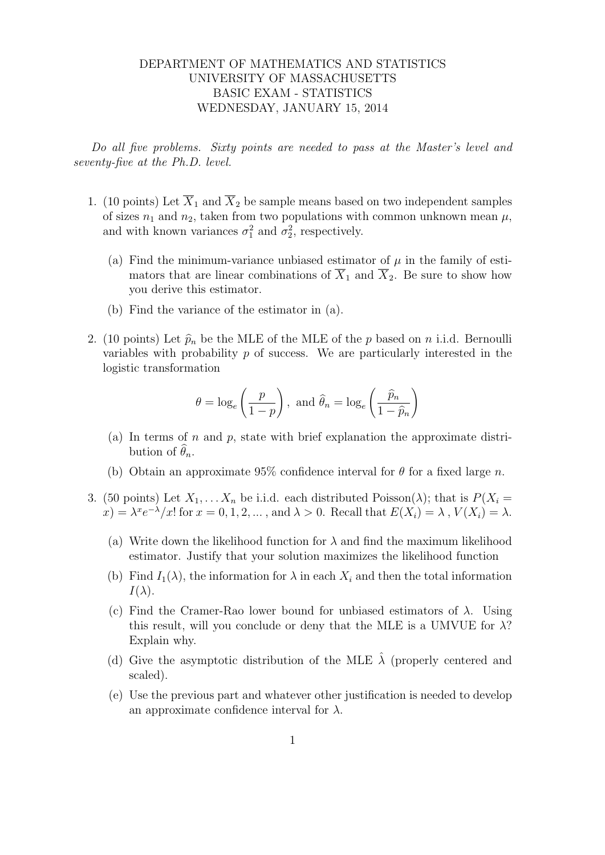## DEPARTMENT OF MATHEMATICS AND STATISTICS UNIVERSITY OF MASSACHUSETTS BASIC EXAM - STATISTICS WEDNESDAY, JANUARY 15, 2014

Do all five problems. Sixty points are needed to pass at the Master's level and seventy-five at the Ph.D. level.

- 1. (10 points) Let  $\overline{X}_1$  and  $\overline{X}_2$  be sample means based on two independent samples of sizes  $n_1$  and  $n_2$ , taken from two populations with common unknown mean  $\mu$ , and with known variances  $\sigma_1^2$  and  $\sigma_2^2$ , respectively.
	- (a) Find the minimum-variance unbiased estimator of  $\mu$  in the family of estimators that are linear combinations of  $\overline{X}_1$  and  $\overline{X}_2$ . Be sure to show how you derive this estimator.
	- (b) Find the variance of the estimator in (a).
- 2. (10 points) Let  $\hat{p}_n$  be the MLE of the MLE of the p based on n i.i.d. Bernoulli variables with probability  $p$  of success. We are particularly interested in the logistic transformation

$$
\theta = \log_e \left( \frac{p}{1-p} \right)
$$
, and  $\hat{\theta}_n = \log_e \left( \frac{\hat{p}_n}{1-\hat{p}_n} \right)$ 

- (a) In terms of n and p, state with brief explanation the approximate distribution of  $\theta_n$ .
- (b) Obtain an approximate 95% confidence interval for  $\theta$  for a fixed large n.
- 3. (50 points) Let  $X_1, \ldots, X_n$  be i.i.d. each distributed Poisson( $\lambda$ ); that is  $P(X_i =$  $(x) = \lambda^x e^{-\lambda}/x!$  for  $x = 0, 1, 2, ...$ , and  $\lambda > 0$ . Recall that  $E(X_i) = \lambda$ ,  $V(X_i) = \lambda$ .
	- (a) Write down the likelihood function for  $\lambda$  and find the maximum likelihood estimator. Justify that your solution maximizes the likelihood function
	- (b) Find  $I_1(\lambda)$ , the information for  $\lambda$  in each  $X_i$  and then the total information  $I(\lambda)$ .
	- (c) Find the Cramer-Rao lower bound for unbiased estimators of  $\lambda$ . Using this result, will you conclude or deny that the MLE is a UMVUE for  $\lambda$ ? Explain why.
	- (d) Give the asymptotic distribution of the MLE  $\lambda$  (properly centered and scaled).
	- (e) Use the previous part and whatever other justification is needed to develop an approximate confidence interval for  $\lambda$ .